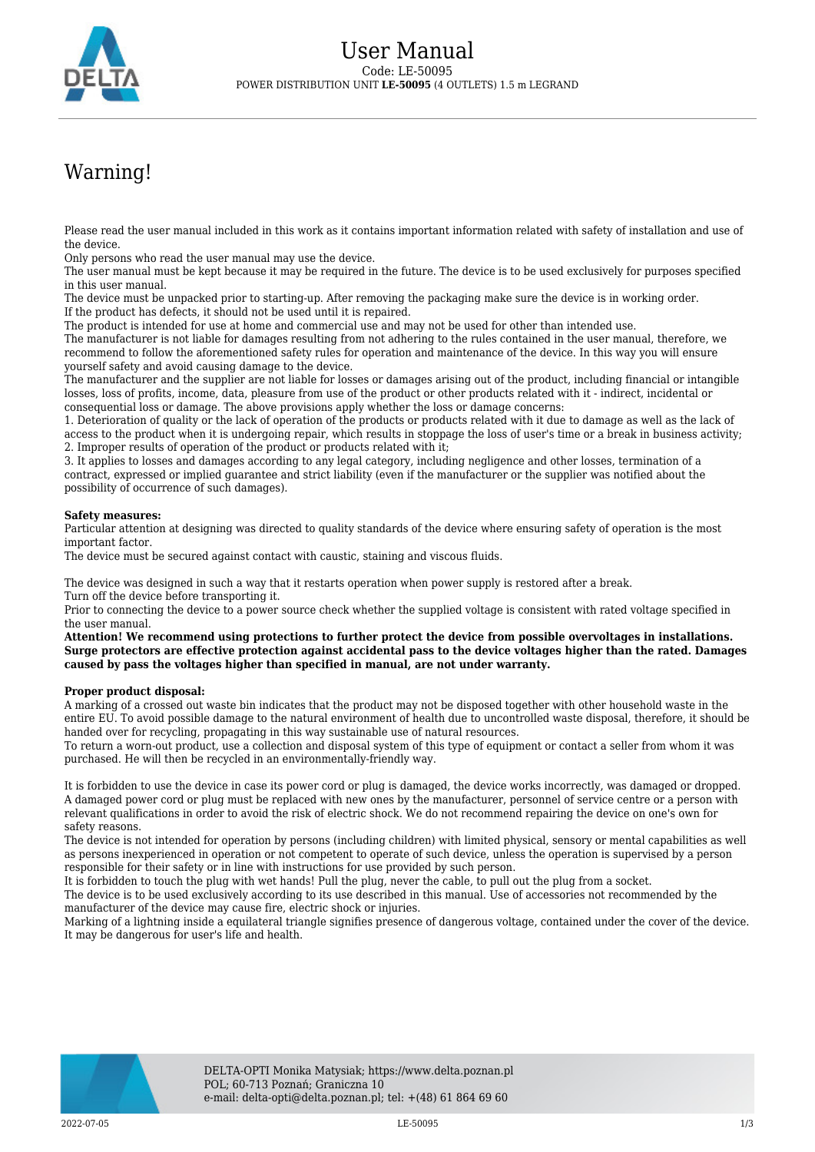

## Warning!

Please read the user manual included in this work as it contains important information related with safety of installation and use of the device.

Only persons who read the user manual may use the device.

The user manual must be kept because it may be required in the future. The device is to be used exclusively for purposes specified in this user manual.

The device must be unpacked prior to starting-up. After removing the packaging make sure the device is in working order. If the product has defects, it should not be used until it is repaired.

The product is intended for use at home and commercial use and may not be used for other than intended use.

The manufacturer is not liable for damages resulting from not adhering to the rules contained in the user manual, therefore, we recommend to follow the aforementioned safety rules for operation and maintenance of the device. In this way you will ensure yourself safety and avoid causing damage to the device.

The manufacturer and the supplier are not liable for losses or damages arising out of the product, including financial or intangible losses, loss of profits, income, data, pleasure from use of the product or other products related with it - indirect, incidental or consequential loss or damage. The above provisions apply whether the loss or damage concerns:

1. Deterioration of quality or the lack of operation of the products or products related with it due to damage as well as the lack of access to the product when it is undergoing repair, which results in stoppage the loss of user's time or a break in business activity; 2. Improper results of operation of the product or products related with it;

3. It applies to losses and damages according to any legal category, including negligence and other losses, termination of a contract, expressed or implied guarantee and strict liability (even if the manufacturer or the supplier was notified about the possibility of occurrence of such damages).

## **Safety measures:**

Particular attention at designing was directed to quality standards of the device where ensuring safety of operation is the most important factor.

The device must be secured against contact with caustic, staining and viscous fluids.

The device was designed in such a way that it restarts operation when power supply is restored after a break. Turn off the device before transporting it.

Prior to connecting the device to a power source check whether the supplied voltage is consistent with rated voltage specified in the user manual.

**Attention! We recommend using protections to further protect the device from possible overvoltages in installations. Surge protectors are effective protection against accidental pass to the device voltages higher than the rated. Damages caused by pass the voltages higher than specified in manual, are not under warranty.**

## **Proper product disposal:**

A marking of a crossed out waste bin indicates that the product may not be disposed together with other household waste in the entire EU. To avoid possible damage to the natural environment of health due to uncontrolled waste disposal, therefore, it should be handed over for recycling, propagating in this way sustainable use of natural resources.

To return a worn-out product, use a collection and disposal system of this type of equipment or contact a seller from whom it was purchased. He will then be recycled in an environmentally-friendly way.

It is forbidden to use the device in case its power cord or plug is damaged, the device works incorrectly, was damaged or dropped. A damaged power cord or plug must be replaced with new ones by the manufacturer, personnel of service centre or a person with relevant qualifications in order to avoid the risk of electric shock. We do not recommend repairing the device on one's own for safety reasons.

The device is not intended for operation by persons (including children) with limited physical, sensory or mental capabilities as well as persons inexperienced in operation or not competent to operate of such device, unless the operation is supervised by a person responsible for their safety or in line with instructions for use provided by such person.

It is forbidden to touch the plug with wet hands! Pull the plug, never the cable, to pull out the plug from a socket.

The device is to be used exclusively according to its use described in this manual. Use of accessories not recommended by the manufacturer of the device may cause fire, electric shock or injuries.

Marking of a lightning inside a equilateral triangle signifies presence of dangerous voltage, contained under the cover of the device. It may be dangerous for user's life and health.

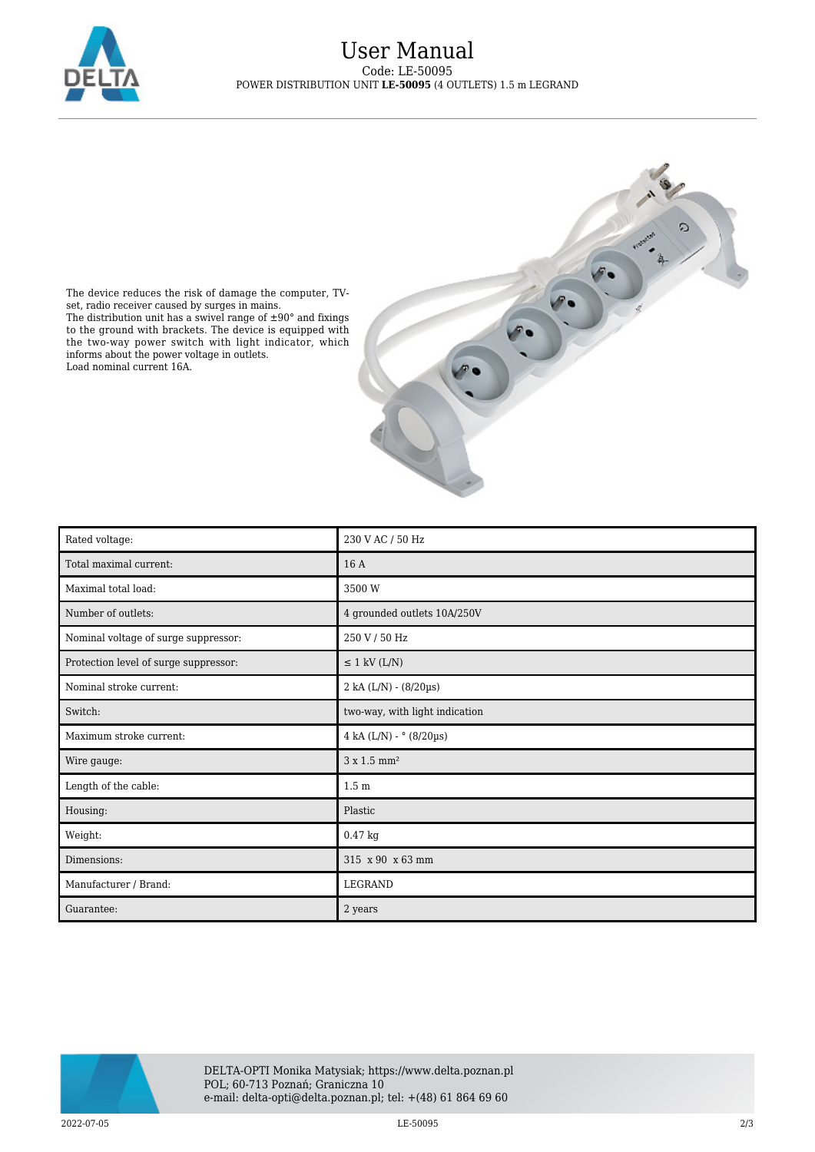

## User Manual Code: LE-50095 POWER DISTRIBUTION UNIT **LE-50095** (4 OUTLETS) 1.5 m LEGRAND



The device reduces the risk of damage the computer, TVset, radio receiver caused by surges in mains. The distribution unit has a swivel range of  $\pm 90^{\circ}$  and fixings to the ground with brackets. The device is equipped with the two-way power switch with light indicator, which informs about the power voltage in outlets. Load nominal current 16A.

| Rated voltage:                        | 230 V AC / 50 Hz                   |
|---------------------------------------|------------------------------------|
| Total maximal current:                | 16 A                               |
| Maximal total load:                   | 3500 W                             |
| Number of outlets:                    | 4 grounded outlets 10A/250V        |
| Nominal voltage of surge suppressor:  | 250 V / 50 Hz                      |
| Protection level of surge suppressor: | $\leq$ 1 kV (L/N)                  |
| Nominal stroke current:               | $2$ kA (L/N) - (8/20µs)            |
| Switch:                               | two-way, with light indication     |
| Maximum stroke current:               | 4 kA $(L/N)$ - $^{\circ}$ (8/20µs) |
| Wire gauge:                           | $3 \times 1.5$ mm <sup>2</sup>     |
| Length of the cable:                  | 1.5 <sub>m</sub>                   |
| Housing:                              | Plastic                            |
| Weight:                               | $0.47$ kg                          |
| Dimensions:                           | 315 x 90 x 63 mm                   |
| Manufacturer / Brand:                 | LEGRAND                            |
| Guarantee:                            | 2 years                            |